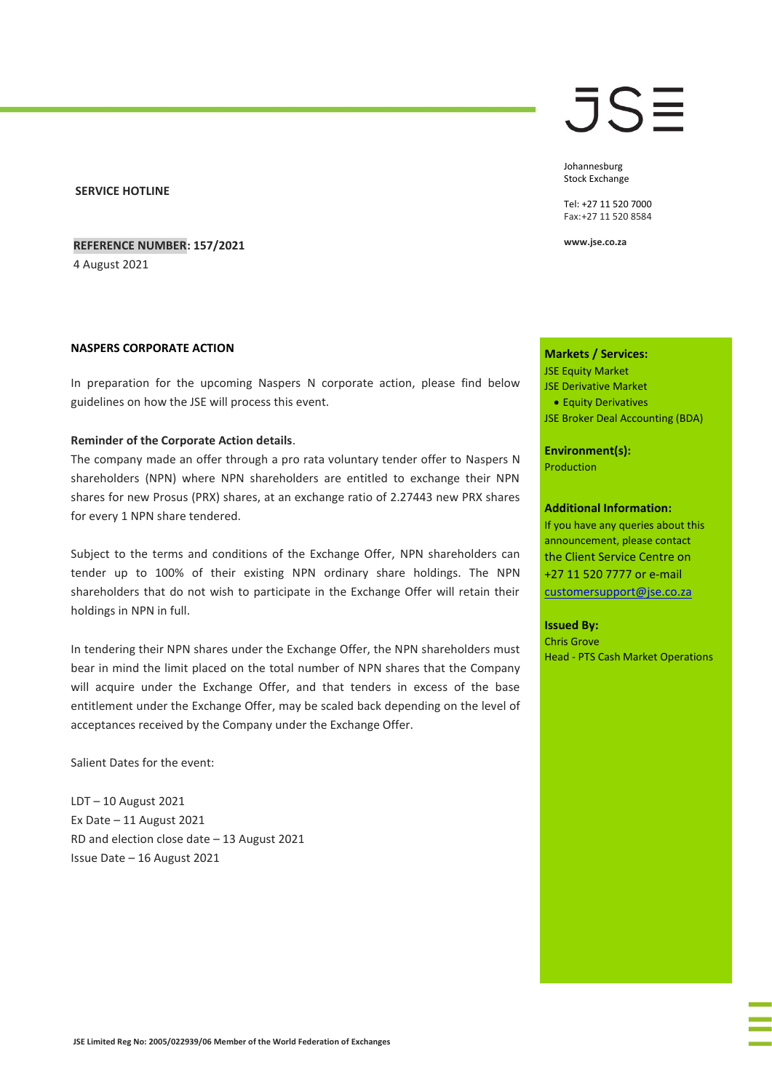### **SERVICE HOTLINE**

**REFERENCE NUMBER: 157/2021**

4 August 2021

#### **NASPERS CORPORATE ACTION**

In preparation for the upcoming Naspers N corporate action, please find below guidelines on how the JSE will process this event.

#### **Reminder of the Corporate Action details**.

The company made an offer through a pro rata voluntary tender offer to Naspers N shareholders (NPN) where NPN shareholders are entitled to exchange their NPN shares for new Prosus (PRX) shares, at an exchange ratio of 2.27443 new PRX shares for every 1 NPN share tendered.

Subject to the terms and conditions of the Exchange Offer, NPN shareholders can tender up to 100% of their existing NPN ordinary share holdings. The NPN shareholders that do not wish to participate in the Exchange Offer will retain their holdings in NPN in full.

In tendering their NPN shares under the Exchange Offer, the NPN shareholders must bear in mind the limit placed on the total number of NPN shares that the Company will acquire under the Exchange Offer, and that tenders in excess of the base entitlement under the Exchange Offer, may be scaled back depending on the level of acceptances received by the Company under the Exchange Offer.

Salient Dates for the event:

LDT – 10 August 2021 Ex Date – 11 August 2021 RD and election close date – 13 August 2021 Issue Date – 16 August 2021

# JSE

Johannesburg Stock Exchange

Tel: +27 11 520 7000 Fax:+27 11 520 8584

**www.jse.co.za**

### **Markets / Services:**

JSE Equity Market

- JSE Derivative Market
- Equity Derivatives
- JSE Broker Deal Accounting (BDA)

**Environment(s):** Production

#### **Additional Information:**

If you have any queries about this announcement, please contact the Client Service Centre on +27 11 520 7777 or e-mail [customersupport@jse.co.za](mailto:customersupport@jse.co.za)

#### **Issued By:**

Chris Grove Head - PTS Cash Market Operations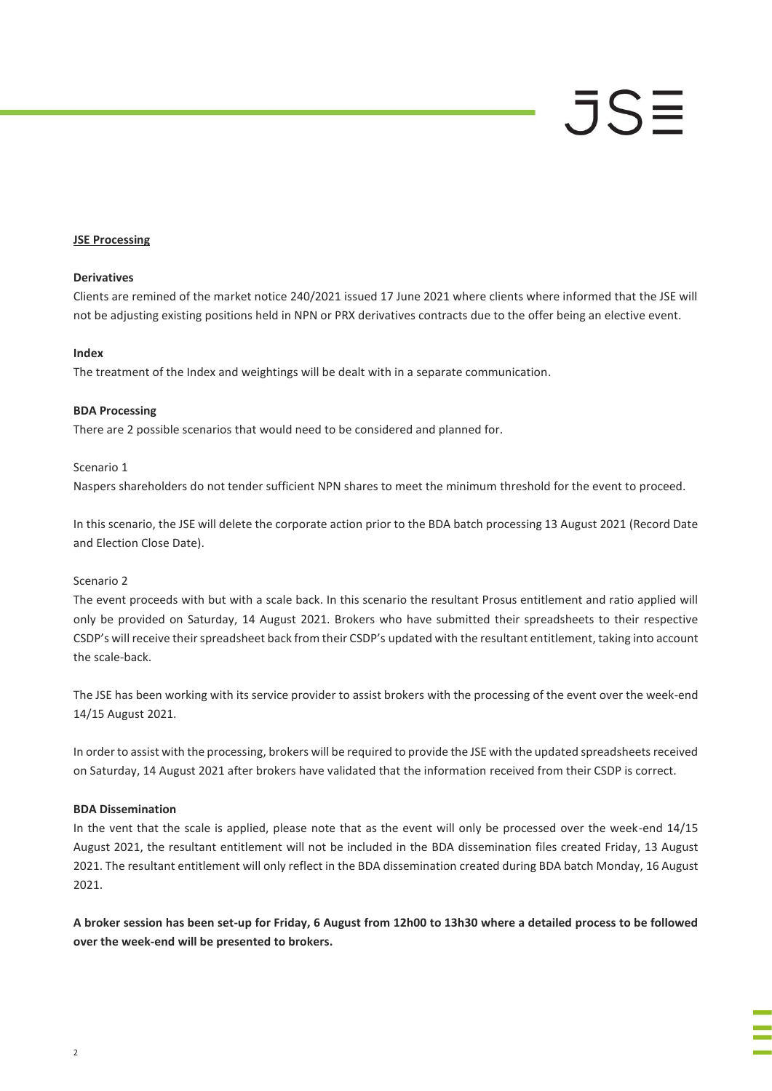# JSE

# **JSE Processing**

# **Derivatives**

Clients are remined of the market notice 240/2021 issued 17 June 2021 where clients where informed that the JSE will not be adjusting existing positions held in NPN or PRX derivatives contracts due to the offer being an elective event.

#### **Index**

The treatment of the Index and weightings will be dealt with in a separate communication.

# **BDA Processing**

There are 2 possible scenarios that would need to be considered and planned for.

# Scenario 1

Naspers shareholders do not tender sufficient NPN shares to meet the minimum threshold for the event to proceed.

In this scenario, the JSE will delete the corporate action prior to the BDA batch processing 13 August 2021 (Record Date and Election Close Date).

#### Scenario 2

The event proceeds with but with a scale back. In this scenario the resultant Prosus entitlement and ratio applied will only be provided on Saturday, 14 August 2021. Brokers who have submitted their spreadsheets to their respective CSDP's will receive their spreadsheet back from their CSDP's updated with the resultant entitlement, taking into account the scale-back.

The JSE has been working with its service provider to assist brokers with the processing of the event over the week-end 14/15 August 2021.

In order to assist with the processing, brokers will be required to provide the JSE with the updated spreadsheets received on Saturday, 14 August 2021 after brokers have validated that the information received from their CSDP is correct.

#### **BDA Dissemination**

In the vent that the scale is applied, please note that as the event will only be processed over the week-end 14/15 August 2021, the resultant entitlement will not be included in the BDA dissemination files created Friday, 13 August 2021. The resultant entitlement will only reflect in the BDA dissemination created during BDA batch Monday, 16 August 2021.

**A broker session has been set-up for Friday, 6 August from 12h00 to 13h30 where a detailed process to be followed over the week-end will be presented to brokers.**